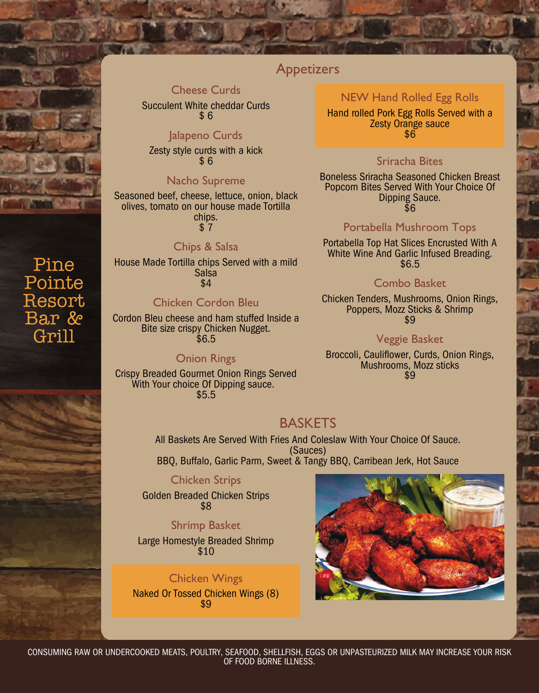

# Pine Pointe Resort Bar & Grill

## Appetizers

### Cheese Curds

Succulent White cheddar Curds  $$6$ 

### Jalapeno Curds

Zesty style curds with a kick \$ 6

### Nacho Supreme

Seasoned beef, cheese, lettuce, onion, black olives, tomato on our house made Tortilla chips.  $\hat{S}$  7

### Chips & Salsa

House Made Tortilla chips Served with a mild Salsa \$4

### Chicken Cordon Bleu

Cordon Bleu cheese and ham stuffed Inside a Bite size crispy Chicken Nugget. \$6.5

### Onion Rings

Crispy Breaded Gourmet Onion Rings Served With Your choice Of Dipping sauce. \$5.5

### NEW Hand Rolled Egg Rolls

Hand rolled Pork Egg Rolls Served with a Zesty Orange sauce  $\overline{\$6}$ 

### Sriracha Bites

Boneless Sriracha Seasoned Chicken Breast Popcorn Bites Served With Your Choice Of Dipping Sauce. \$6

### Portabella Mushroom Tops

Portabella Top Hat Slices Encrusted With A White Wine And Garlic Infused Breading. \$6.5

### Combo Basket

Chicken Tenders, Mushrooms, Onion Rings, Poppers, Mozz Sticks & Shrimp \$9

### Veggie Basket

Broccoli, Cauliflower, Curds, Onion Rings, Mushrooms, Mozz sticks \$9

## BASKETS

All Baskets Are Served With Fries And Coleslaw With Your Choice Of Sauce. (Sauces) BBQ, Buffalo, Garlic Parm, Sweet & Tangy BBQ, Carribean Jerk, Hot Sauce

### Chicken Strips

Golden Breaded Chicken Strips \$8

Shrimp Basket Large Homestyle Breaded Shrimp \$10

### Chicken Wings

Naked Or Tossed Chicken Wings (8) \$9